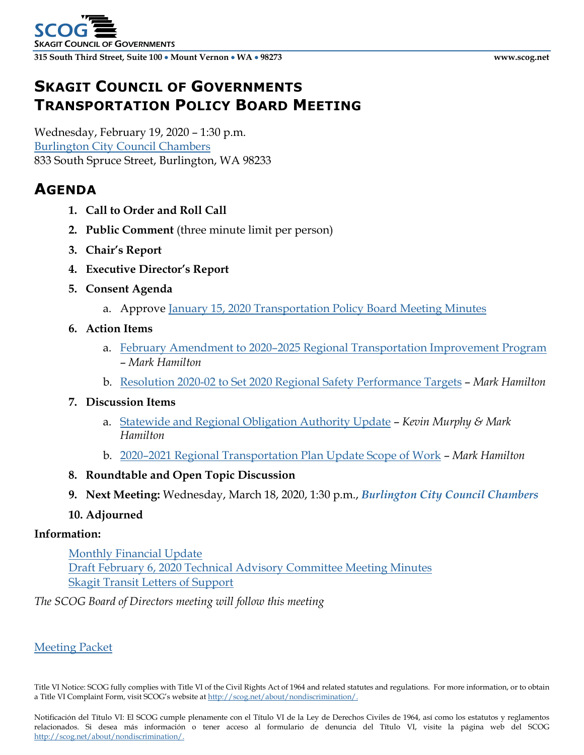## **SKAGIT COUNCIL OF GOVERNMENTS TRANSPORTATION POLICY BOARD MEETING**

Wednesday, February 19, 2020 – 1:30 p.m. [Burlington City Council Chambers](https://www.google.com/maps/place/833+S+Spruce+St,+Burlington,+WA+98233/@48.4685974,-122.3327867,17z/data=!3m1!4b1!4m5!3m4!1s0x54856dbb065408ed:0x8eb9d02897a49823!8m2!3d48.4685974!4d-122.330598) 833 South Spruce Street, Burlington, WA 98233

# **AGENDA**

- **1. Call to Order and Roll Call**
- **2. Public Comment** (three minute limit per person)
- **3. Chair's Report**
- **4. Executive Director's Report**
- **5. Consent Agenda**
	- a. Approve January 15, 2020 [Transportation Policy Board](http://www.scog.net/Meeting_Materials/TPB/2020/2020-02-19/TPB_Minutes-2020-01-15.pdf) Meeting Minutes
- **6. Action Items**
	- a. February Amendment [to 2020–2025 Regional Transportation Improvement Program](http://www.scog.net/Meeting_Materials/TPB/2020/2020-02-19/RTIP_Amendment-2020-02.pdf) – *Mark Hamilton*
	- b. Resolution 2020-02 to Set 2020 [Regional Safety Performance Targets](http://www.scog.net/Meeting_Materials/TPB/2020/2020-02-19/SafetyTargets.pdf) *Mark Hamilton*
- **7. Discussion Items**
	- a. [Statewide and Regional Obligation](http://www.scog.net/Meeting_Materials/TPB/2020/2020-02-19/ObligationAuthority.pdf) Authority Update *Kevin Murphy & Mark Hamilton*
	- b. [2020–2021 Regional Transportation Plan Update Scope of Work](http://www.scog.net/Meeting_Materials/TPB/2020/2020-02-19/RTP_Update_ScopeOfWork.pdf) *Mark Hamilton*
- **8. Roundtable and Open Topic Discussion**
- **9. Next Meeting:** Wednesday, March 18, 2020, 1:30 p.m., *Burlington City Council Chambers*

#### **10. Adjourned**

#### **Information:**

[Monthly Financial Update](http://www.scog.net/Meeting_Materials/TPB/2020/2020-02-19/MonthlyFinancialUpdate.pdf) Draft February 6, 2020 [Technical Advisory Committee Meeting Minutes](http://www.scog.net/Meeting_Materials/TPB/2020/2020-02-19/TAC_Minutes-2020-02-06.pdf) [Skagit Transit Letters of Support](http://www.scog.net/Meeting_Materials/TPB/2020/2020-02-19/SkagitTransit_LettersOfSupport.pdf)

*The SCOG Board of Directors meeting will follow this meeting*

#### [Meeting Packet](http://www.scog.net/Meeting_Materials/TPB/2020/2020-02-19/TPB_Packet-2020-02-19.pdf)

Title VI Notice: SCOG fully complies with Title VI of the Civil Rights Act of 1964 and related statutes and regulations. For more information, or to obtain a Title VI Complaint Form, visit SCOG's website a[t http://scog.net/about/nondiscrimination/.](http://scog.net/about/nondiscrimination/)

Notificación del Título VI: El SCOG cumple plenamente con el Título VI de la Ley de Derechos Civiles de 1964, así como los estatutos y reglamentos relacionados. Si desea más información o tener acceso al formulario de denuncia del Título VI, visite la página web del SCOG [http://scog.net/about/nondiscrimination/.](http://scog.net/about/nondiscrimination/)